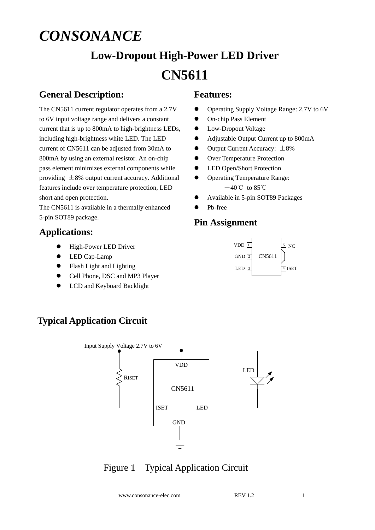# *CONSONANCE*

# **Low-Dropout High-Power LED Driver CN5611**

## **General Description:**

The CN5611 current regulator operates from a 2.7V to 6V input voltage range and delivers a constant current that is up to 800mA to high-brightness LEDs, including high-brightness white LED. The LED current of CN5611 can be adjusted from 30mA to 800mA by using an external resistor. An on-chip pass element minimizes external components while providing  $\pm 8\%$  output current accuracy. Additional features include over temperature protection, LED short and open protection.

The CN5611 is available in a thermally enhanced 5-pin SOT89 package.

### **Applications:**

- $\bullet$  High-Power LED Driver
- LED Cap-Lamp
- Flash Light and Lighting
- Cell Phone, DSC and MP3 Player
- $\bullet$  LCD and Keyboard Backlight

# **Typical Application Circuit**



# Figure 1 Typical Application Circuit

www.consonance-elec.com REV 1.2 1



- Operating Supply Voltage Range: 2.7V to 6V
- On-chip Pass Element
- Low-Dropout Voltage
- Adjustable Output Current up to 800mA
- $\bullet$  Output Current Accuracy:  $\pm 8\%$
- **•** Over Temperature Protection
- **•** LED Open/Short Protection
- Operating Temperature Range:  $-40^{\circ}$ C to 85 $^{\circ}$ C
- Available in 5-pin SOT89 Packages
- Pb-free

#### **Pin Assignment**

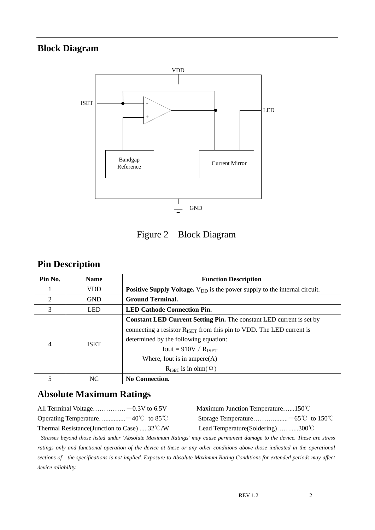# **Block Diagram**



Figure 2 Block Diagram

### **Pin Description**

| Pin No. | <b>Name</b> | <b>Function Description</b>                                                                                                                                                                                                                                                                                       |  |  |
|---------|-------------|-------------------------------------------------------------------------------------------------------------------------------------------------------------------------------------------------------------------------------------------------------------------------------------------------------------------|--|--|
|         | <b>VDD</b>  | <b>Positive Supply Voltage.</b> $V_{DD}$ is the power supply to the internal circuit.                                                                                                                                                                                                                             |  |  |
| 2       | <b>GND</b>  | <b>Ground Terminal.</b>                                                                                                                                                                                                                                                                                           |  |  |
| 3       | <b>LED</b>  | <b>LED Cathode Connection Pin.</b>                                                                                                                                                                                                                                                                                |  |  |
| 4       | <b>ISET</b> | <b>Constant LED Current Setting Pin.</b> The constant LED current is set by<br>connecting a resistor $R_{\text{ISET}}$ from this pin to VDD. The LED current is<br>determined by the following equation:<br>$Iout = 910V / R_{ISET}$<br>Where, Iout is in ampere $(A)$<br>$R_{\text{ISFT}}$ is in ohm( $\Omega$ ) |  |  |
|         | NC.         | <b>No Connection.</b>                                                                                                                                                                                                                                                                                             |  |  |

# **Absolute Maximum Ratings**

| All Terminal Voltage -0.3V to $6.5V$                   | Maximum Junction Temperature150°C           |
|--------------------------------------------------------|---------------------------------------------|
| Operating Temperature $-40^{\circ}$ to 85 °C           |                                             |
| Thermal Resistance (Junction to Case) 32 $\degree$ C/W | Lead Temperature (Soldering)300 $\degree$ C |

*Stresses beyond those listed under 'Absolute Maximum Ratings' may cause permanent damage to the device. These are stress*  ratings only and functional operation of the device at these or any other conditions above those indicated in the operational *sections of the specifications is not implied. Exposure to Absolute Maximum Rating Conditions for extended periods may affect device reliability.*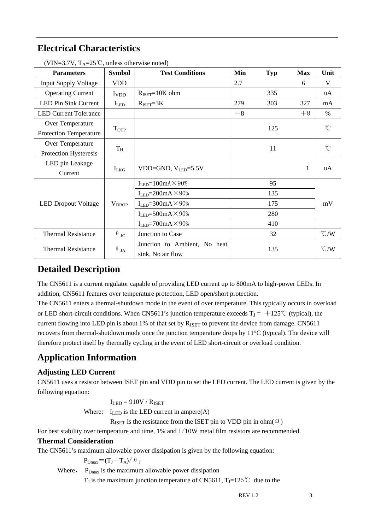# **Electrical Characteristics**

| <b>Parameters</b>                        | <b>Symbol</b>                      | <b>Test Conditions</b>                | Min  | Typ | <b>Max</b>    | Unit                 |  |
|------------------------------------------|------------------------------------|---------------------------------------|------|-----|---------------|----------------------|--|
| <b>Input Supply Voltage</b>              | <b>VDD</b>                         |                                       | 2.7  |     | 6             | V                    |  |
| <b>Operating Current</b>                 | <b>I</b> <sub>V</sub> <sub>D</sub> | $R_{\text{ISET}} = 10K$ ohm           |      | 335 |               | $\mathbf{u}$ A       |  |
| <b>LED Pin Sink Current</b><br>$I_{LED}$ |                                    | $R_{\text{ISET}}=3K$                  | 279  | 303 | 327           | mA                   |  |
| <b>LED Current Tolerance</b>             |                                    |                                       | $-8$ |     | $+8$          | $\%$                 |  |
| Over Temperature<br>TOTP                 |                                    |                                       |      | 125 |               | $\mathrm{C}^{\circ}$ |  |
| Protection Temperature                   |                                    |                                       |      |     |               |                      |  |
| Over Temperature                         | $T_{\rm H}$                        |                                       |      | 11  |               | °C                   |  |
| Protection Hysteresis                    |                                    |                                       |      |     |               |                      |  |
| LED pin Leakage                          | $I_{LKG}$                          | VDD=GND, $V_{LED}$ =5.5V              |      |     | $\mathbf{1}$  | $\mathbf{u}$ A       |  |
| Current                                  |                                    |                                       |      |     |               |                      |  |
|                                          | $V_{DROP}$                         | $I_{LED} = 100 \text{mA} \times 90\%$ |      | 95  |               | mV                   |  |
|                                          |                                    | $I_{LED} = 200mA \times 90%$          |      | 135 |               |                      |  |
| <b>LED Dropout Voltage</b>               |                                    | $I_{LED} = 300mA \times 90%$          |      | 175 |               |                      |  |
|                                          |                                    | $I_{LED} = 500mA \times 90%$          |      | 280 |               |                      |  |
|                                          |                                    | $I_{LED} = 700mA \times 90%$          | 410  |     |               |                      |  |
| <b>Thermal Resistance</b>                | $\theta$ <sub>JC</sub>             | Junction to Case                      |      | 32  |               | $\mathcal{C}/W$      |  |
| <b>Thermal Resistance</b>                | $\theta$ ja                        | Junction to Ambient, No heat          | 135  |     | $\degree$ C/W |                      |  |
|                                          |                                    | sink, No air flow                     |      |     |               |                      |  |

(VIN=3.7V,  $T_A = 25^\circ$ C, unless otherwise noted)

## **Detailed Description**

The CN5611 is a current regulator capable of providing LED current up to 800mA to high-power LEDs. In addition, CN5611 features over temperature protection, LED open/short protection.

The CN5611 enters a thermal-shutdown mode in the event of over temperature. This typically occurs in overload or LED short-circuit conditions. When CN5611's junction temperature exceeds  $T_J = +125^{\circ}C$  (typical), the current flowing into LED pin is about 1% of that set by R<sub>ISET</sub> to prevent the device from damage. CN5611 recovers from thermal-shutdown mode once the junction temperature drops by 11°C (typical). The device will therefore protect itself by thermally cycling in the event of LED short-circuit or overload condition.

# **Application Information**

#### **Adjusting LED Current**

CN5611 uses a resistor between ISET pin and VDD pin to set the LED current. The LED current is given by the following equation:

 $I<sub>LED</sub> = 910V / R<sub>ISET</sub>$ 

Where:  $I_{LED}$  is the LED current in ampere(A)

R<sub>ISET</sub> is the resistance from the ISET pin to VDD pin in ohm $(\Omega)$ 

For best stability over temperature and time, 1% and  $1/10W$  metal film resistors are recommended.

#### **Thermal Consideration**

The CN5611's maximum allowable power dissipation is given by the following equation:

 $P_{Dmax}=(T_I-T_A)/\theta_I$ 

Where,  $P_{Dmax}$  is the maximum allowable power dissipation

T<sub>J</sub> is the maximum junction temperature of CN5611, T<sub>J</sub>=125°C due to the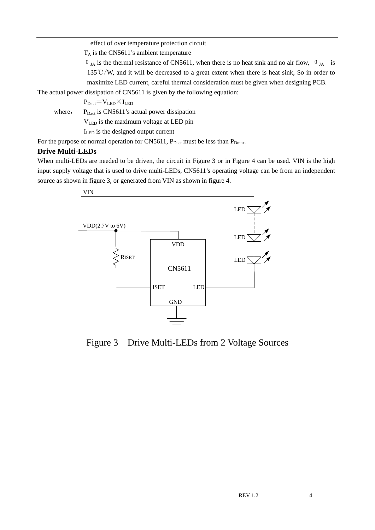effect of over temperature protection circuit

 $T_A$  is the CN5611's ambient temperature

 $θ$ <sub>JA</sub> is the thermal resistance of CN5611, when there is no heat sink and no air flow,  $θ$ <sub>JA</sub> is 135℃/W, and it will be decreased to a great extent when there is heat sink, So in order to maximize LED current, careful thermal consideration must be given when designing PCB.

The actual power dissipation of CN5611 is given by the following equation:

 $P_{\text{Dact}}=V_{\text{LED}}\times I_{\text{LED}}$ 

where,  $P_{\text{Dact}}$  is CN5611's actual power dissipation

VLED is the maximum voltage at LED pin

ILED is the designed output current

For the purpose of normal operation for CN5611,  $P_{\text{Dact}}$  must be less than  $P_{\text{Dmax}}$ .

#### **Drive Multi-LEDs**

When multi-LEDs are needed to be driven, the circuit in Figure 3 or in Figure 4 can be used. VIN is the high input supply voltage that is used to drive multi-LEDs, CN5611's operating voltage can be from an independent source as shown in figure 3, or generated from VIN as shown in figure 4.



Figure 3 Drive Multi-LEDs from 2 Voltage Sources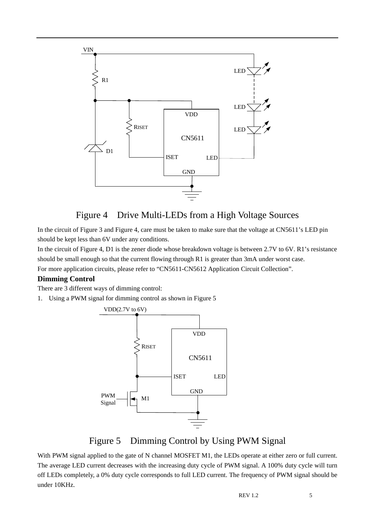

### Figure 4 Drive Multi-LEDs from a High Voltage Sources

In the circuit of Figure 3 and Figure 4, care must be taken to make sure that the voltage at CN5611's LED pin should be kept less than 6V under any conditions.

In the circuit of Figure 4, D1 is the zener diode whose breakdown voltage is between 2.7V to 6V. R1's resistance should be small enough so that the current flowing through R1 is greater than 3mA under worst case. For more application circuits, please refer to "CN5611-CN5612 Application Circuit Collection".

#### **Dimming Control**

There are 3 different ways of dimming control:

1. Using a PWM signal for dimming control as shown in Figure 5



### Figure 5 Dimming Control by Using PWM Signal

With PWM signal applied to the gate of N channel MOSFET M1, the LEDs operate at either zero or full current. The average LED current decreases with the increasing duty cycle of PWM signal. A 100% duty cycle will turn off LEDs completely, a 0% duty cycle corresponds to full LED current. The frequency of PWM signal should be under 10KHz.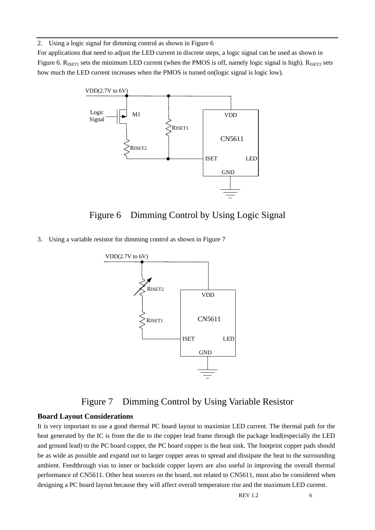2. Using a logic signal for dimming control as shown in Figure 6

For applications that need to adjust the LED current in discrete steps, a logic signal can be used as shown in Figure 6.  $R_{\text{ISET1}}$  sets the minimum LED current (when the PMOS is off, namely logic signal is high).  $R_{\text{ISET2}}$  sets how much the LED current increases when the PMOS is turned on(logic signal is logic low).



### Figure 6 Dimming Control by Using Logic Signal

3. Using a variable resistor for dimming control as shown in Figure 7



#### Figure 7 Dimming Control by Using Variable Resistor

#### **Board Layout Considerations**

It is very important to use a good thermal PC board layout to maximize LED current. The thermal path for the heat generated by the IC is from the die to the copper lead frame through the package lead(especially the LED and ground lead) to the PC board copper, the PC board copper is the heat sink. The footprint copper pads should be as wide as possible and expand out to larger copper areas to spread and dissipate the heat to the surrounding ambient. Feedthrough vias to inner or backside copper layers are also useful in improving the overall thermal performance of CN5611. Other heat sources on the board, not related to CN5611, must also be considered when designing a PC board layout because they will affect overall temperature rise and the maximum LED current.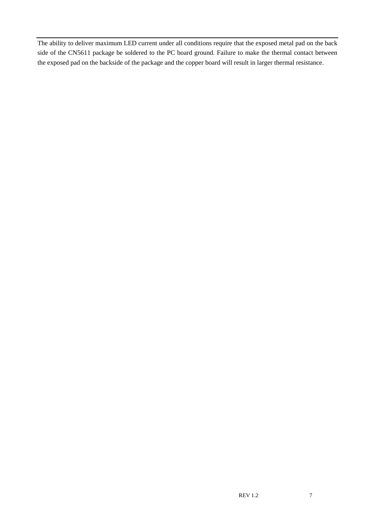The ability to deliver maximum LED current under all conditions require that the exposed metal pad on the back side of the CN5611 package be soldered to the PC board ground. Failure to make the thermal contact between the exposed pad on the backside of the package and the copper board will result in larger thermal resistance.